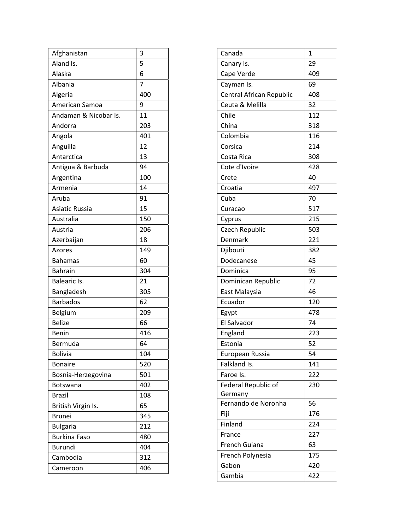| Afghanistan           | 3   |
|-----------------------|-----|
| Aland Is.             | 5   |
| Alaska                | 6   |
| Albania               | 7   |
| Algeria               | 400 |
| American Samoa        | 9   |
| Andaman & Nicobar Is. | 11  |
| Andorra               | 203 |
| Angola                | 401 |
| Anguilla              | 12  |
| Antarctica            | 13  |
| Antigua & Barbuda     | 94  |
| Argentina             | 100 |
| Armenia               | 14  |
| Aruba                 | 91  |
| <b>Asiatic Russia</b> | 15  |
| Australia             | 150 |
| Austria               | 206 |
| Azerbaijan            | 18  |
| Azores                | 149 |
| <b>Bahamas</b>        | 60  |
| <b>Bahrain</b>        | 304 |
| Balearic Is.          | 21  |
| Bangladesh            | 305 |
| <b>Barbados</b>       | 62  |
| Belgium               | 209 |
| <b>Belize</b>         | 66  |
| Benin                 | 416 |
| Bermuda               | 64  |
| <b>Bolivia</b>        | 104 |
| <b>Bonaire</b>        | 520 |
| Bosnia-Herzegovina    | 501 |
| <b>Botswana</b>       | 402 |
| <b>Brazil</b>         | 108 |
| British Virgin Is.    | 65  |
| <b>Brunei</b>         | 345 |
| <b>Bulgaria</b>       | 212 |
| <b>Burkina Faso</b>   | 480 |
| <b>Burundi</b>        | 404 |
| Cambodia              | 312 |
| Cameroon              | 406 |

| Canada                   | 1   |
|--------------------------|-----|
| Canary Is.               | 29  |
| Cape Verde               | 409 |
| Cayman Is.               | 69  |
| Central African Republic | 408 |
| Ceuta & Melilla          | 32  |
| Chile                    | 112 |
| China                    | 318 |
| Colombia                 | 116 |
| Corsica                  | 214 |
| Costa Rica               | 308 |
| Cote d'Ivoire            | 428 |
| Crete                    | 40  |
| Croatia                  | 497 |
| Cuba                     | 70  |
| Curacao                  | 517 |
| Cyprus                   | 215 |
| Czech Republic           | 503 |
| Denmark                  | 221 |
| Djibouti                 | 382 |
| Dodecanese               | 45  |
| Dominica                 | 95  |
| Dominican Republic       | 72  |
| East Malaysia            | 46  |
| Ecuador                  | 120 |
| Egypt                    | 478 |
| El Salvador              | 74  |
| England                  | 223 |
| Estonia                  | 52  |
| European Russia          | 54  |
| Falkland Is.             | 141 |
| Faroe Is.                | 222 |
| Federal Republic of      | 230 |
| Germany                  |     |
| Fernando de Noronha      | 56  |
| Fiji                     | 176 |
| Finland                  | 224 |
| France                   | 227 |
| French Guiana            | 63  |
| French Polynesia         | 175 |
| Gabon                    | 420 |
| Gambia                   | 422 |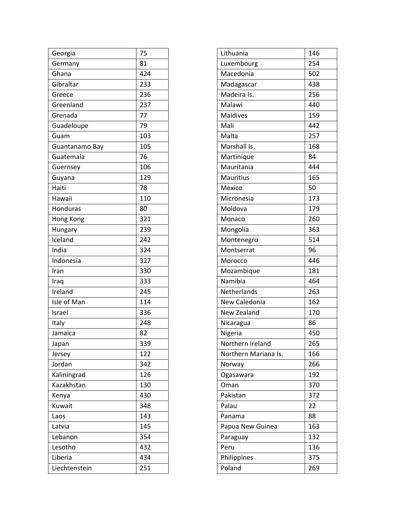| Georgia        | 75  |
|----------------|-----|
| Germany        | 81  |
| Ghana          | 424 |
| Gibraltar      | 233 |
| Greece         | 236 |
| Greenland      | 237 |
| Grenada        | 77  |
| Guadeloupe     | 79  |
| Guam           | 103 |
| Guantanamo Bay | 105 |
| Guatemala      | 76  |
| Guernsey       | 106 |
| Guyana         | 129 |
| Haiti          | 78  |
| Hawaii         | 110 |
| Honduras       | 80  |
| Hong Kong      | 321 |
| Hungary        | 239 |
| Iceland        | 242 |
| India          | 324 |
| Indonesia      | 327 |
| Iran           | 330 |
| Iraq           | 333 |
| Ireland        | 245 |
| Isle of Man    | 114 |
| Israel         | 336 |
| Italy          | 248 |
| Jamaica        | 82  |
| Japan          | 339 |
| Jersey         | 122 |
| Jordan         | 342 |
| Kaliningrad    | 126 |
| Kazakhstan     | 130 |
| Kenya          | 430 |
| Kuwait         | 348 |
| Laos           | 143 |
| Latvia         | 145 |
| Lebanon        | 354 |
| Lesotho        | 432 |
| Liberia        | 434 |
| Liechtenstein  | 251 |

| Lithuania            | 146 |
|----------------------|-----|
| Luxembourg           | 254 |
| Macedonia            | 502 |
| Madagascar           | 438 |
| Madeira Is.          | 256 |
| Malawi               | 440 |
| <b>Maldives</b>      | 159 |
| Mali                 | 442 |
| Malta                | 257 |
| Marshall Is.         | 168 |
| Martinique           | 84  |
| Mauritania           | 444 |
| Mauritius            | 165 |
| Mexico               | 50  |
| Micronesia           | 173 |
| Moldova              | 179 |
| Monaco               | 260 |
| Mongolia             | 363 |
| Montenegro           | 514 |
| Montserrat           | 96  |
| Morocco              | 446 |
| Mozambique           | 181 |
| Namibia              | 464 |
| Netherlands          | 263 |
| New Caledonia        | 162 |
| New Zealand          | 170 |
| Nicaragua            | 86  |
| Nigeria              | 450 |
| Northern Ireland     | 265 |
| Northern Mariana Is. | 166 |
| Norway               | 266 |
| Ogasawara            | 192 |
| Oman                 | 370 |
| Pakistan             | 372 |
| Palau                | 22  |
| Panama               | 88  |
| Papua New Guinea     | 163 |
| Paraguay             | 132 |
| Peru                 | 136 |
| Philippines          | 375 |
| Poland               | 269 |